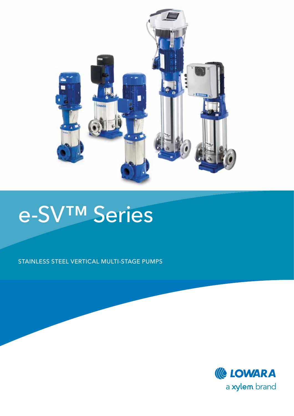

# e-SV™ Series

STAINLESS STEEL VERTICAL MULTI-STAGE PUMPS

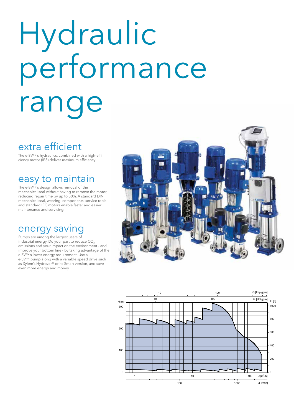# Hydraulic performance range

# extra efficient

The e-SV™'s hydraulics, combined with a high-effi ciency motor (IE3) deliver maximum efficiency.

## easy to maintain

The e-SV™'s design allows removal of the mechanical seal without having to remove the motor, reducing repair time by up to 50%. A standard DIN mechanical seal, wearing components, service tools and standard IEC motors enable faster and easier maintenance and servicing.

### energy saving

Pumps are among the largest users of industrial energy. Do your part to reduce CO<sub>2</sub> emissions and your impact on the environment - and improve your bottom line - by taking advantage of the e-SV™'s lower energy requirement. Use a e-SV™ pump along with a variable speed drive such as Xylem's Hydrovar® or its Smart version, and save even more energy and money.



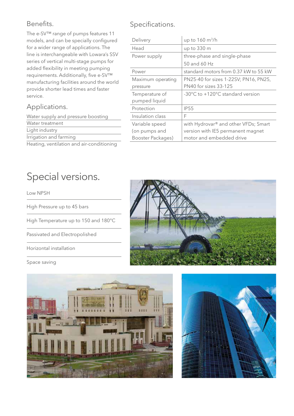#### Benefits.

The e-SV™ range of pumps features 11 models, and can be specially configured for a wider range of applications. The line is interchangeable with Lowara's SSV series of vertical multi-stage pumps for added flexibility in meeting pumping requirements. Additionally, five e-SV™ manufacturing facilities around the world provide shorter lead times and faster service.

#### Applications.

Water supply and pressure boosting Water treatment Light industry Irrigation and farming

Heating, ventilation and air-conditioning

#### Specifications.

| Delivery          | up to 160 m <sup>3</sup> /h                      |
|-------------------|--------------------------------------------------|
| Head              | up to 330 m                                      |
| Power supply      | three-phase and single-phase                     |
|                   | 50 and 60 Hz                                     |
| Power             | standard motors from 0.37 kW to 55 kW            |
| Maximum operating | PN25-40 for sizes 1-22SV; PN16, PN25,            |
| pressure          | <b>PN40</b> for sizes 33-125                     |
| Temperature of    | -30°C to +120°C standard version                 |
| pumped liquid     |                                                  |
| Protection        | <b>IP55</b>                                      |
| Insulation class  | F                                                |
| Variable speed    | with Hydrovar <sup>®</sup> and other VFDs; Smart |
| (on pumps and     | version with IE5 permanent magnet                |
| Booster Packages) | motor and embedded drive                         |

# Special versions.

Low NPSH

High Pressure up to 45 bars

High Temperature up to 150 and 180°C

Passivated and Electropolished

Horizontal installation

#### Space saving